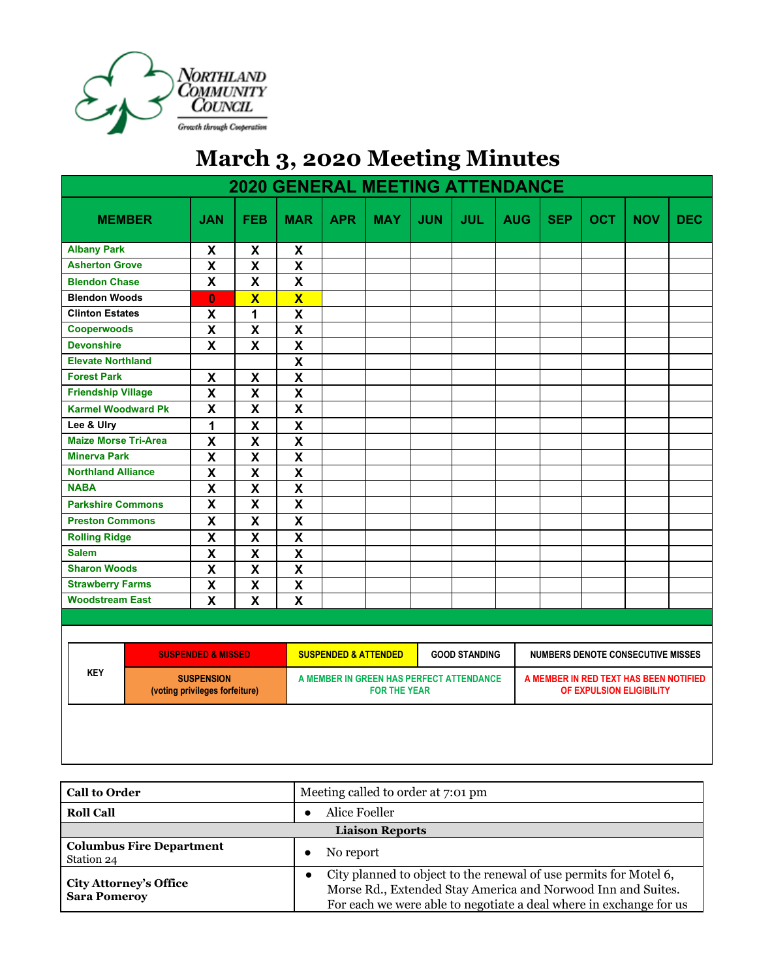

## **March 3, 2020 Meeting Minutes**

| <b>2020 GENERAL MEETING ATTENDANCE</b> |  |                                                     |                           |                           |                                                                 |            |            |                      |                                                                    |            |            |                                          |            |
|----------------------------------------|--|-----------------------------------------------------|---------------------------|---------------------------|-----------------------------------------------------------------|------------|------------|----------------------|--------------------------------------------------------------------|------------|------------|------------------------------------------|------------|
| <b>MEMBER</b>                          |  | <b>JAN</b>                                          | <b>FEB</b>                | <b>MAR</b>                | <b>APR</b>                                                      | <b>MAY</b> | <b>JUN</b> | <b>JUL</b>           | <b>AUG</b>                                                         | <b>SEP</b> | <b>OCT</b> | <b>NOV</b>                               | <b>DEC</b> |
| <b>Albany Park</b>                     |  | X                                                   | X                         | X                         |                                                                 |            |            |                      |                                                                    |            |            |                                          |            |
| <b>Asherton Grove</b>                  |  | $\boldsymbol{\mathsf{x}}$                           | $\boldsymbol{\mathsf{X}}$ | $\boldsymbol{\mathsf{x}}$ |                                                                 |            |            |                      |                                                                    |            |            |                                          |            |
| <b>Blendon Chase</b>                   |  | X                                                   | $\boldsymbol{\mathsf{X}}$ | $\boldsymbol{\mathsf{x}}$ |                                                                 |            |            |                      |                                                                    |            |            |                                          |            |
| <b>Blendon Woods</b>                   |  | $\bf{0}$                                            | $\overline{\mathbf{X}}$   | $\overline{\mathbf{X}}$   |                                                                 |            |            |                      |                                                                    |            |            |                                          |            |
| <b>Clinton Estates</b>                 |  | X                                                   | 1                         | $\mathsf{X}$              |                                                                 |            |            |                      |                                                                    |            |            |                                          |            |
| Cooperwoods                            |  | X                                                   | $\mathsf{X}$              | $\mathsf{X}$              |                                                                 |            |            |                      |                                                                    |            |            |                                          |            |
| <b>Devonshire</b>                      |  | $\overline{\mathsf{x}}$                             | X                         | $\mathsf{X}$              |                                                                 |            |            |                      |                                                                    |            |            |                                          |            |
| <b>Elevate Northland</b>               |  |                                                     |                           | $\mathsf{X}$              |                                                                 |            |            |                      |                                                                    |            |            |                                          |            |
| <b>Forest Park</b>                     |  | $\boldsymbol{\mathsf{x}}$                           | $\boldsymbol{\mathsf{X}}$ | $\mathsf{X}$              |                                                                 |            |            |                      |                                                                    |            |            |                                          |            |
| <b>Friendship Village</b>              |  | $\overline{\mathsf{X}}$                             | $\mathsf{X}$              | $\mathsf{X}$              |                                                                 |            |            |                      |                                                                    |            |            |                                          |            |
| <b>Karmel Woodward Pk</b>              |  | X                                                   | $\mathsf{X}$              | X                         |                                                                 |            |            |                      |                                                                    |            |            |                                          |            |
| Lee & Ulry                             |  | 1                                                   | $\mathsf{X}$              | $\mathsf{X}$              |                                                                 |            |            |                      |                                                                    |            |            |                                          |            |
| <b>Maize Morse Tri-Area</b>            |  | X                                                   | $\boldsymbol{\mathsf{X}}$ | $\boldsymbol{\mathsf{X}}$ |                                                                 |            |            |                      |                                                                    |            |            |                                          |            |
| <b>Minerva Park</b>                    |  | X                                                   | $\boldsymbol{\mathsf{X}}$ | X                         |                                                                 |            |            |                      |                                                                    |            |            |                                          |            |
| <b>Northland Alliance</b>              |  | X                                                   | $\mathsf{X}$              | $\mathsf{X}$              |                                                                 |            |            |                      |                                                                    |            |            |                                          |            |
| <b>NABA</b>                            |  | X                                                   | $\boldsymbol{\mathsf{X}}$ | $\boldsymbol{\mathsf{X}}$ |                                                                 |            |            |                      |                                                                    |            |            |                                          |            |
| <b>Parkshire Commons</b>               |  | X                                                   | X                         | X                         |                                                                 |            |            |                      |                                                                    |            |            |                                          |            |
| <b>Preston Commons</b>                 |  | X                                                   | X                         | X                         |                                                                 |            |            |                      |                                                                    |            |            |                                          |            |
| <b>Rolling Ridge</b>                   |  | $\overline{\mathbf{x}}$                             | $\overline{\mathbf{X}}$   | $\overline{\mathbf{X}}$   |                                                                 |            |            |                      |                                                                    |            |            |                                          |            |
| <b>Salem</b>                           |  | $\overline{\mathsf{x}}$                             | $\overline{\mathbf{X}}$   | $\overline{\mathbf{X}}$   |                                                                 |            |            |                      |                                                                    |            |            |                                          |            |
| <b>Sharon Woods</b>                    |  | $\overline{\mathsf{x}}$                             | $\overline{\mathbf{X}}$   | $\overline{\mathbf{X}}$   |                                                                 |            |            |                      |                                                                    |            |            |                                          |            |
| <b>Strawberry Farms</b>                |  | $\overline{\mathbf{x}}$                             | $\overline{\mathbf{X}}$   | $\overline{\mathbf{X}}$   |                                                                 |            |            |                      |                                                                    |            |            |                                          |            |
| <b>Woodstream East</b>                 |  | $\overline{\mathbf{X}}$                             | X                         | X                         |                                                                 |            |            |                      |                                                                    |            |            |                                          |            |
|                                        |  |                                                     |                           |                           |                                                                 |            |            |                      |                                                                    |            |            |                                          |            |
|                                        |  |                                                     |                           |                           |                                                                 |            |            |                      |                                                                    |            |            |                                          |            |
|                                        |  | <b>SUSPENDED &amp; MISSED</b>                       |                           |                           | <b>SUSPENDED &amp; ATTENDED</b>                                 |            |            | <b>GOOD STANDING</b> |                                                                    |            |            | <b>NUMBERS DENOTE CONSECUTIVE MISSES</b> |            |
| <b>KEY</b>                             |  | <b>SUSPENSION</b><br>(voting privileges forfeiture) |                           |                           | A MEMBER IN GREEN HAS PERFECT ATTENDANCE<br><b>FOR THE YEAR</b> |            |            |                      | A MEMBER IN RED TEXT HAS BEEN NOTIFIED<br>OF EXPULSION ELIGIBILITY |            |            |                                          |            |
|                                        |  |                                                     |                           |                           |                                                                 |            |            |                      |                                                                    |            |            |                                          |            |

| <b>Call to Order</b>                                 | Meeting called to order at 7:01 pm                                                                                                                                                                      |  |  |  |  |
|------------------------------------------------------|---------------------------------------------------------------------------------------------------------------------------------------------------------------------------------------------------------|--|--|--|--|
| <b>Roll Call</b>                                     | Alice Foeller                                                                                                                                                                                           |  |  |  |  |
| <b>Liaison Reports</b>                               |                                                                                                                                                                                                         |  |  |  |  |
| <b>Columbus Fire Department</b><br>Station 24        | No report                                                                                                                                                                                               |  |  |  |  |
| <b>City Attorney's Office</b><br><b>Sara Pomerov</b> | City planned to object to the renewal of use permits for Motel 6,<br>Morse Rd., Extended Stay America and Norwood Inn and Suites.<br>For each we were able to negotiate a deal where in exchange for us |  |  |  |  |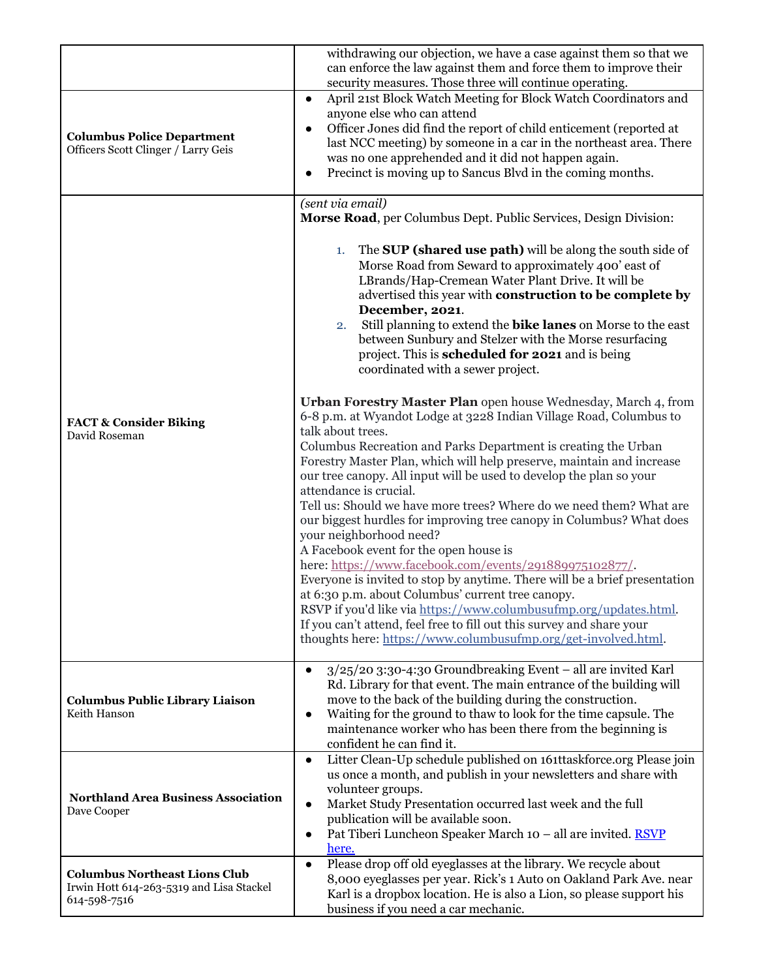|                                                                                                  | withdrawing our objection, we have a case against them so that we<br>can enforce the law against them and force them to improve their<br>security measures. Those three will continue operating.                                                                                                                                                                                                                                                                                                                |  |  |  |
|--------------------------------------------------------------------------------------------------|-----------------------------------------------------------------------------------------------------------------------------------------------------------------------------------------------------------------------------------------------------------------------------------------------------------------------------------------------------------------------------------------------------------------------------------------------------------------------------------------------------------------|--|--|--|
| <b>Columbus Police Department</b><br>Officers Scott Clinger / Larry Geis                         | April 21st Block Watch Meeting for Block Watch Coordinators and<br>$\bullet$<br>anyone else who can attend<br>Officer Jones did find the report of child enticement (reported at<br>$\bullet$<br>last NCC meeting) by someone in a car in the northeast area. There<br>was no one apprehended and it did not happen again.<br>Precinct is moving up to Sancus Blvd in the coming months.                                                                                                                        |  |  |  |
|                                                                                                  | (sent via email)<br>Morse Road, per Columbus Dept. Public Services, Design Division:<br>The SUP (shared use path) will be along the south side of<br>1.<br>Morse Road from Seward to approximately 400' east of<br>LBrands/Hap-Cremean Water Plant Drive. It will be<br>advertised this year with construction to be complete by<br>December, 2021.<br>Still planning to extend the bike lanes on Morse to the east<br>2.<br>between Sunbury and Stelzer with the Morse resurfacing                             |  |  |  |
| <b>FACT &amp; Consider Biking</b><br>David Roseman                                               | project. This is scheduled for 2021 and is being<br>coordinated with a sewer project.<br>Urban Forestry Master Plan open house Wednesday, March 4, from<br>6-8 p.m. at Wyandot Lodge at 3228 Indian Village Road, Columbus to<br>talk about trees.<br>Columbus Recreation and Parks Department is creating the Urban<br>Forestry Master Plan, which will help preserve, maintain and increase                                                                                                                   |  |  |  |
|                                                                                                  | our tree canopy. All input will be used to develop the plan so your<br>attendance is crucial.<br>Tell us: Should we have more trees? Where do we need them? What are<br>our biggest hurdles for improving tree canopy in Columbus? What does<br>your neighborhood need?<br>A Facebook event for the open house is<br>here: https://www.facebook.com/events/291889975102877/.<br>Everyone is invited to stop by anytime. There will be a brief presentation<br>at 6:30 p.m. about Columbus' current tree canopy. |  |  |  |
|                                                                                                  | RSVP if you'd like via https://www.columbusufmp.org/updates.html.<br>If you can't attend, feel free to fill out this survey and share your<br>thoughts here: https://www.columbusufmp.org/get-involved.html.                                                                                                                                                                                                                                                                                                    |  |  |  |
| <b>Columbus Public Library Liaison</b><br>Keith Hanson                                           | $3/25/20$ 3:30-4:30 Groundbreaking Event – all are invited Karl<br>$\bullet$<br>Rd. Library for that event. The main entrance of the building will<br>move to the back of the building during the construction.<br>Waiting for the ground to thaw to look for the time capsule. The<br>$\bullet$<br>maintenance worker who has been there from the beginning is<br>confident he can find it.                                                                                                                    |  |  |  |
| <b>Northland Area Business Association</b><br>Dave Cooper                                        | Litter Clean-Up schedule published on 161ttaskforce.org Please join<br>$\bullet$<br>us once a month, and publish in your newsletters and share with<br>volunteer groups.<br>Market Study Presentation occurred last week and the full<br>$\bullet$<br>publication will be available soon.<br>Pat Tiberi Luncheon Speaker March 10 - all are invited. RSVP<br>$\bullet$<br>here.                                                                                                                                 |  |  |  |
| <b>Columbus Northeast Lions Club</b><br>Irwin Hott 614-263-5319 and Lisa Stackel<br>614-598-7516 | Please drop off old eyeglasses at the library. We recycle about<br>$\bullet$<br>8,000 eyeglasses per year. Rick's 1 Auto on Oakland Park Ave. near<br>Karl is a dropbox location. He is also a Lion, so please support his<br>business if you need a car mechanic.                                                                                                                                                                                                                                              |  |  |  |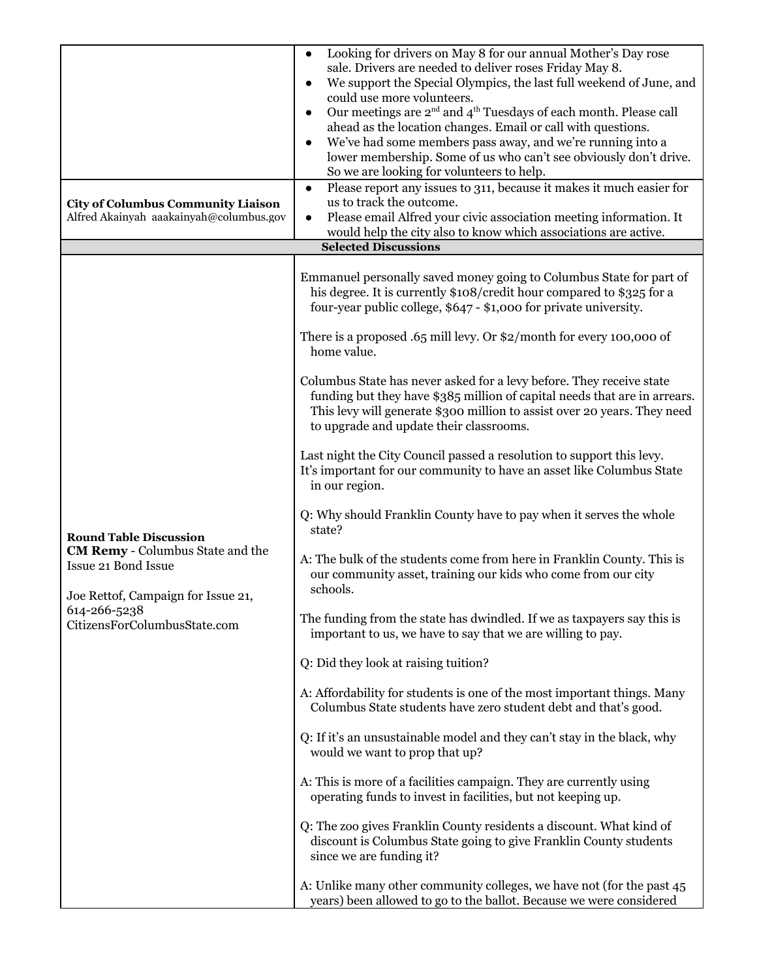| <b>City of Columbus Community Liaison</b><br>Alfred Akainyah aaakainyah@columbus.gov | Looking for drivers on May 8 for our annual Mother's Day rose<br>$\bullet$<br>sale. Drivers are needed to deliver roses Friday May 8.<br>We support the Special Olympics, the last full weekend of June, and<br>could use more volunteers.<br>Our meetings are $2^{\rm nd}$ and $4^{\rm th}$ Tuesdays of each month. Please call<br>$\bullet$<br>ahead as the location changes. Email or call with questions.<br>We've had some members pass away, and we're running into a<br>lower membership. Some of us who can't see obviously don't drive.<br>So we are looking for volunteers to help.<br>Please report any issues to 311, because it makes it much easier for<br>$\bullet$<br>us to track the outcome.<br>Please email Alfred your civic association meeting information. It<br>$\bullet$<br>would help the city also to know which associations are active. |
|--------------------------------------------------------------------------------------|----------------------------------------------------------------------------------------------------------------------------------------------------------------------------------------------------------------------------------------------------------------------------------------------------------------------------------------------------------------------------------------------------------------------------------------------------------------------------------------------------------------------------------------------------------------------------------------------------------------------------------------------------------------------------------------------------------------------------------------------------------------------------------------------------------------------------------------------------------------------|
|                                                                                      | <b>Selected Discussions</b>                                                                                                                                                                                                                                                                                                                                                                                                                                                                                                                                                                                                                                                                                                                                                                                                                                          |
|                                                                                      | Emmanuel personally saved money going to Columbus State for part of<br>his degree. It is currently \$108/credit hour compared to \$325 for a<br>four-year public college, \$647 - \$1,000 for private university.<br>There is a proposed $.65$ mill levy. Or \$2/month for every 100,000 of<br>home value.<br>Columbus State has never asked for a levy before. They receive state                                                                                                                                                                                                                                                                                                                                                                                                                                                                                   |
|                                                                                      | funding but they have \$385 million of capital needs that are in arrears.<br>This levy will generate \$300 million to assist over 20 years. They need<br>to upgrade and update their classrooms.                                                                                                                                                                                                                                                                                                                                                                                                                                                                                                                                                                                                                                                                     |
|                                                                                      | Last night the City Council passed a resolution to support this levy.<br>It's important for our community to have an asset like Columbus State<br>in our region.                                                                                                                                                                                                                                                                                                                                                                                                                                                                                                                                                                                                                                                                                                     |
| <b>Round Table Discussion</b><br><b>CM Remy</b> - Columbus State and the             | Q: Why should Franklin County have to pay when it serves the whole<br>state?                                                                                                                                                                                                                                                                                                                                                                                                                                                                                                                                                                                                                                                                                                                                                                                         |
| Issue 21 Bond Issue<br>Joe Rettof, Campaign for Issue 21,                            | A: The bulk of the students come from here in Franklin County. This is<br>our community asset, training our kids who come from our city<br>schools.                                                                                                                                                                                                                                                                                                                                                                                                                                                                                                                                                                                                                                                                                                                  |
| 614-266-5238<br>CitizensForColumbusState.com                                         | The funding from the state has dwindled. If we as taxpayers say this is<br>important to us, we have to say that we are willing to pay.                                                                                                                                                                                                                                                                                                                                                                                                                                                                                                                                                                                                                                                                                                                               |
|                                                                                      | Q: Did they look at raising tuition?                                                                                                                                                                                                                                                                                                                                                                                                                                                                                                                                                                                                                                                                                                                                                                                                                                 |
|                                                                                      | A: Affordability for students is one of the most important things. Many<br>Columbus State students have zero student debt and that's good.                                                                                                                                                                                                                                                                                                                                                                                                                                                                                                                                                                                                                                                                                                                           |
|                                                                                      | Q: If it's an unsustainable model and they can't stay in the black, why<br>would we want to prop that up?                                                                                                                                                                                                                                                                                                                                                                                                                                                                                                                                                                                                                                                                                                                                                            |
|                                                                                      | A: This is more of a facilities campaign. They are currently using<br>operating funds to invest in facilities, but not keeping up.                                                                                                                                                                                                                                                                                                                                                                                                                                                                                                                                                                                                                                                                                                                                   |
|                                                                                      | Q: The zoo gives Franklin County residents a discount. What kind of<br>discount is Columbus State going to give Franklin County students<br>since we are funding it?                                                                                                                                                                                                                                                                                                                                                                                                                                                                                                                                                                                                                                                                                                 |
|                                                                                      | A: Unlike many other community colleges, we have not (for the past 45<br>years) been allowed to go to the ballot. Because we were considered                                                                                                                                                                                                                                                                                                                                                                                                                                                                                                                                                                                                                                                                                                                         |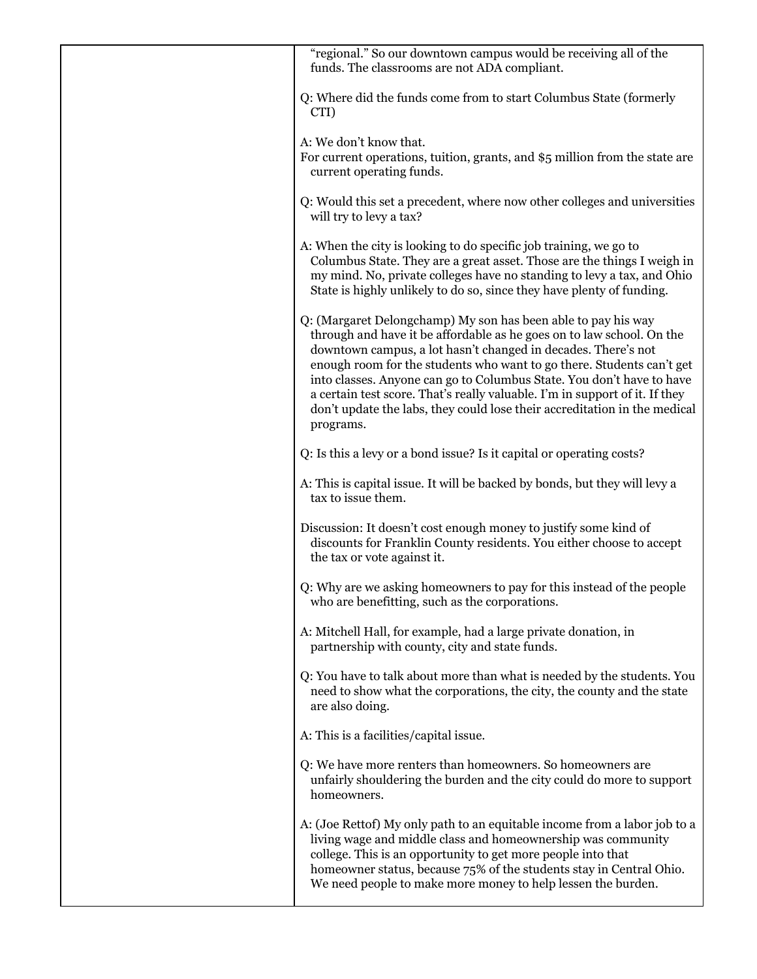| "regional." So our downtown campus would be receiving all of the<br>funds. The classrooms are not ADA compliant.                                                                                                                                                                                                                                                                                                                                                                                                                   |
|------------------------------------------------------------------------------------------------------------------------------------------------------------------------------------------------------------------------------------------------------------------------------------------------------------------------------------------------------------------------------------------------------------------------------------------------------------------------------------------------------------------------------------|
| Q: Where did the funds come from to start Columbus State (formerly<br>CTI)                                                                                                                                                                                                                                                                                                                                                                                                                                                         |
| A: We don't know that.<br>For current operations, tuition, grants, and \$5 million from the state are<br>current operating funds.                                                                                                                                                                                                                                                                                                                                                                                                  |
| Q: Would this set a precedent, where now other colleges and universities<br>will try to levy a tax?                                                                                                                                                                                                                                                                                                                                                                                                                                |
| A: When the city is looking to do specific job training, we go to<br>Columbus State. They are a great asset. Those are the things I weigh in<br>my mind. No, private colleges have no standing to levy a tax, and Ohio<br>State is highly unlikely to do so, since they have plenty of funding.                                                                                                                                                                                                                                    |
| Q: (Margaret Delongchamp) My son has been able to pay his way<br>through and have it be affordable as he goes on to law school. On the<br>downtown campus, a lot hasn't changed in decades. There's not<br>enough room for the students who want to go there. Students can't get<br>into classes. Anyone can go to Columbus State. You don't have to have<br>a certain test score. That's really valuable. I'm in support of it. If they<br>don't update the labs, they could lose their accreditation in the medical<br>programs. |
| Q: Is this a levy or a bond issue? Is it capital or operating costs?                                                                                                                                                                                                                                                                                                                                                                                                                                                               |
| A: This is capital issue. It will be backed by bonds, but they will levy a<br>tax to issue them.                                                                                                                                                                                                                                                                                                                                                                                                                                   |
| Discussion: It doesn't cost enough money to justify some kind of<br>discounts for Franklin County residents. You either choose to accept<br>the tax or vote against it.                                                                                                                                                                                                                                                                                                                                                            |
| Q: Why are we asking homeowners to pay for this instead of the people<br>who are benefitting, such as the corporations.                                                                                                                                                                                                                                                                                                                                                                                                            |
| A: Mitchell Hall, for example, had a large private donation, in<br>partnership with county, city and state funds.                                                                                                                                                                                                                                                                                                                                                                                                                  |
| Q: You have to talk about more than what is needed by the students. You<br>need to show what the corporations, the city, the county and the state<br>are also doing.                                                                                                                                                                                                                                                                                                                                                               |
| A: This is a facilities/capital issue.                                                                                                                                                                                                                                                                                                                                                                                                                                                                                             |
| Q: We have more renters than homeowners. So homeowners are<br>unfairly shouldering the burden and the city could do more to support<br>homeowners.                                                                                                                                                                                                                                                                                                                                                                                 |
| A: (Joe Rettof) My only path to an equitable income from a labor job to a<br>living wage and middle class and homeownership was community<br>college. This is an opportunity to get more people into that<br>homeowner status, because 75% of the students stay in Central Ohio.<br>We need people to make more money to help lessen the burden.                                                                                                                                                                                   |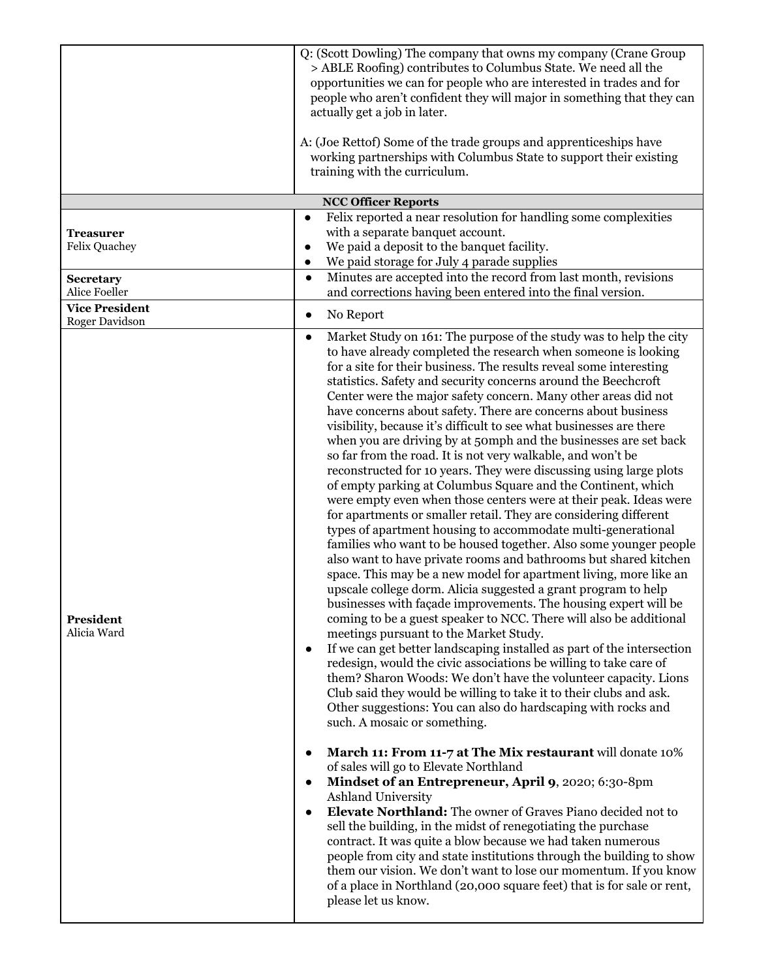| Treasurer                                | Q: (Scott Dowling) The company that owns my company (Crane Group<br>> ABLE Roofing) contributes to Columbus State. We need all the<br>opportunities we can for people who are interested in trades and for<br>people who aren't confident they will major in something that they can<br>actually get a job in later.<br>A: (Joe Rettof) Some of the trade groups and apprenticeships have<br>working partnerships with Columbus State to support their existing<br>training with the curriculum.<br><b>NCC Officer Reports</b><br>Felix reported a near resolution for handling some complexities<br>$\bullet$<br>with a separate banquet account.                                                                                                                                                                                                                                                                                                                                                                                                                                                                                                                                                                                                                                                                                                                                                                                                                                                                                                                                                                                                                                                                                                                                                                                                             |
|------------------------------------------|----------------------------------------------------------------------------------------------------------------------------------------------------------------------------------------------------------------------------------------------------------------------------------------------------------------------------------------------------------------------------------------------------------------------------------------------------------------------------------------------------------------------------------------------------------------------------------------------------------------------------------------------------------------------------------------------------------------------------------------------------------------------------------------------------------------------------------------------------------------------------------------------------------------------------------------------------------------------------------------------------------------------------------------------------------------------------------------------------------------------------------------------------------------------------------------------------------------------------------------------------------------------------------------------------------------------------------------------------------------------------------------------------------------------------------------------------------------------------------------------------------------------------------------------------------------------------------------------------------------------------------------------------------------------------------------------------------------------------------------------------------------------------------------------------------------------------------------------------------------|
| <b>Felix Quachey</b><br><b>Secretary</b> | We paid a deposit to the banquet facility.<br>$\bullet$<br>We paid storage for July 4 parade supplies<br>$\bullet$<br>Minutes are accepted into the record from last month, revisions<br>$\bullet$                                                                                                                                                                                                                                                                                                                                                                                                                                                                                                                                                                                                                                                                                                                                                                                                                                                                                                                                                                                                                                                                                                                                                                                                                                                                                                                                                                                                                                                                                                                                                                                                                                                             |
| Alice Foeller                            | and corrections having been entered into the final version.                                                                                                                                                                                                                                                                                                                                                                                                                                                                                                                                                                                                                                                                                                                                                                                                                                                                                                                                                                                                                                                                                                                                                                                                                                                                                                                                                                                                                                                                                                                                                                                                                                                                                                                                                                                                    |
| <b>Vice President</b><br>Roger Davidson  | No Report<br>$\bullet$                                                                                                                                                                                                                                                                                                                                                                                                                                                                                                                                                                                                                                                                                                                                                                                                                                                                                                                                                                                                                                                                                                                                                                                                                                                                                                                                                                                                                                                                                                                                                                                                                                                                                                                                                                                                                                         |
| President<br>Alicia Ward                 | Market Study on 161: The purpose of the study was to help the city<br>$\bullet$<br>to have already completed the research when someone is looking<br>for a site for their business. The results reveal some interesting<br>statistics. Safety and security concerns around the Beechcroft<br>Center were the major safety concern. Many other areas did not<br>have concerns about safety. There are concerns about business<br>visibility, because it's difficult to see what businesses are there<br>when you are driving by at 50mph and the businesses are set back<br>so far from the road. It is not very walkable, and won't be<br>reconstructed for 10 years. They were discussing using large plots<br>of empty parking at Columbus Square and the Continent, which<br>were empty even when those centers were at their peak. Ideas were<br>for apartments or smaller retail. They are considering different<br>types of apartment housing to accommodate multi-generational<br>families who want to be housed together. Also some younger people<br>also want to have private rooms and bathrooms but shared kitchen<br>space. This may be a new model for apartment living, more like an<br>upscale college dorm. Alicia suggested a grant program to help<br>businesses with façade improvements. The housing expert will be<br>coming to be a guest speaker to NCC. There will also be additional<br>meetings pursuant to the Market Study.<br>If we can get better landscaping installed as part of the intersection<br>$\bullet$<br>redesign, would the civic associations be willing to take care of<br>them? Sharon Woods: We don't have the volunteer capacity. Lions<br>Club said they would be willing to take it to their clubs and ask.<br>Other suggestions: You can also do hardscaping with rocks and<br>such. A mosaic or something. |
|                                          | March 11: From 11-7 at The Mix restaurant will donate 10%<br>of sales will go to Elevate Northland<br>Mindset of an Entrepreneur, April 9, 2020; 6:30-8pm<br>Ashland University<br>Elevate Northland: The owner of Graves Piano decided not to<br>$\bullet$<br>sell the building, in the midst of renegotiating the purchase<br>contract. It was quite a blow because we had taken numerous<br>people from city and state institutions through the building to show<br>them our vision. We don't want to lose our momentum. If you know<br>of a place in Northland (20,000 square feet) that is for sale or rent,<br>please let us know.                                                                                                                                                                                                                                                                                                                                                                                                                                                                                                                                                                                                                                                                                                                                                                                                                                                                                                                                                                                                                                                                                                                                                                                                                       |